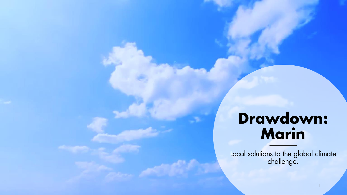### **Drawdown: Marin**

Local solutions to the global climate challenge.

1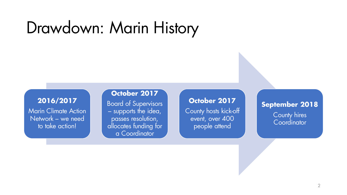## Drawdown: Marin History

#### **2016/2017**

Marin Climate Action Network – we need to take action!

#### **October 2017**

Board of Supervisors – supports the idea, passes resolution, allocates funding for a Coordinator

#### **October 2017**

County hosts kick-off event, over 400 people attend

#### **September 2018**  County hires **Coordinator**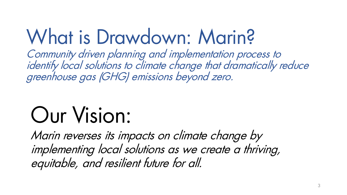# What is Drawdown: Marin?

Community driven planning and implementation process to identify local solutions to climate change that dramatically reduce greenhouse gas (GHG) emissions beyond zero.

# Our Vision:

Marin reverses its impacts on climate change by implementing local solutions as we create a thriving, equitable, and resilient future for all.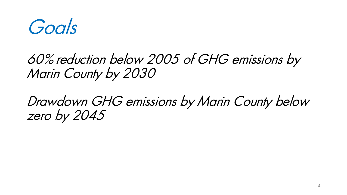Goals

### 60% reduction below 2005 of GHG emissions by Marin County by 2030

### Drawdown GHG emissions by Marin County below zero by 2045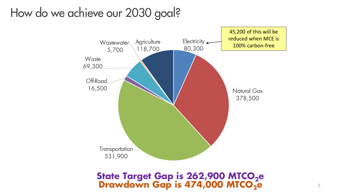### How do we achieve our 2030 goal?



**State Target Gap is 262,900 MTCO2e Drawdown Gap is 474,000 MTCO2e**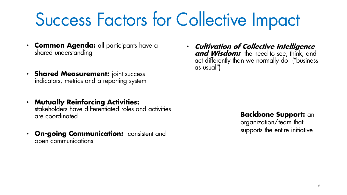## Success Factors for Collective Impact

- **Common Agenda:** all participants have a shared understanding
- **Shared Measurement:** joint success indicators, metrics and a reporting system
- **Mutually Reinforcing Activities:**  stakeholders have differentiated roles and activities are coordinated
- **On-going Communication:** consistent and open communications

• **Cultivation of Collective Intelligence and Wisdom:** the need to see, think, and act differently than we normally do ("business as usual")

#### **Backbone Support:** an

organization/team that supports the entire initiative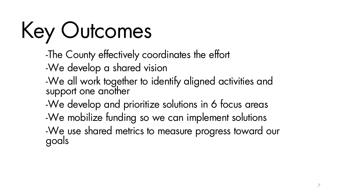# Key Outcomes

- -The County effectively coordinates the effort
- -We develop a shared vision
- -We all work together to identify aligned activities and support one another
- -We develop and prioritize solutions in 6 focus areas
- -We mobilize funding so we can implement solutions
- -We use shared metrics to measure progress toward our goals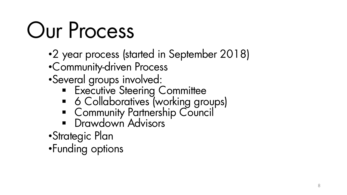# Our Process

- •2 year process (started in September 2018)
- •Community-driven Process
- •Several groups involved:
	- **Executive Steering Committee**
	- 6 Collaboratives (working groups)
	- Community Partnership Council
	- **•** Drawdown Advisors
- •Strategic Plan
- •Funding options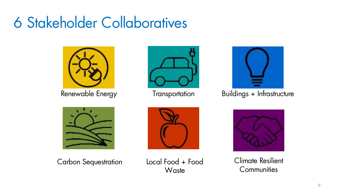## 6 Stakeholder Collaboratives







Renewable Energy Transportation Buildings + Infrastructure









**Communities**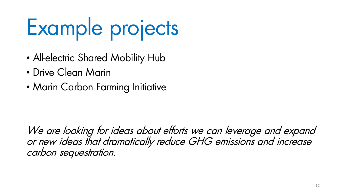# Example projects

- All-electric Shared Mobility Hub
- Drive Clean Marin
- Marin Carbon Farming Initiative

We are looking for ideas about efforts we can leverage and expand or new ideas that dramatically reduce GHG emissions and increase carbon sequestration.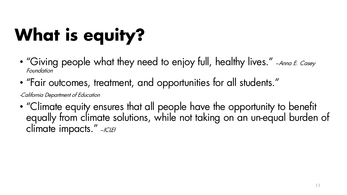# **What is equity?**

- "Giving people what they need to enjoy full, healthy lives." -Anna E. Casey Foundation
- "Fair outcomes, treatment, and opportunities for all students."

-California Department of Education

• "Climate equity ensures that all people have the opportunity to benefit equally from climate solutions, while not taking on an un-equal burden of climate impacts." -ICLEI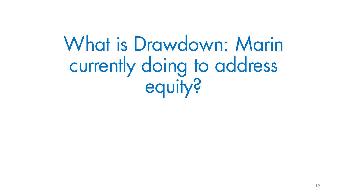What is Drawdown: Marin currently doing to address equity?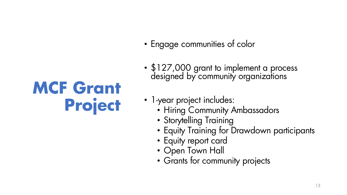## **MCF Grant Project**

- Engage communities of color
- \$127,000 grant to implement a process designed by community organizations
- 1-year project includes:
	- Hiring Community Ambassadors
	- Storytelling Training
	- Equity Training for Drawdown participants
	- Equity report card
	- Open Town Hall
	- Grants for community projects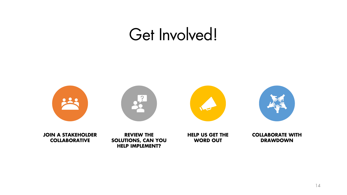## Get Involved!

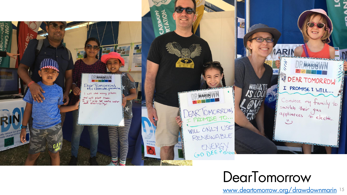

### **DearTomorrow**

[www.deartomorrow.org/drawdownmarin](http://www.deartomorrow.org/drawdownmarin) <sup>15</sup>